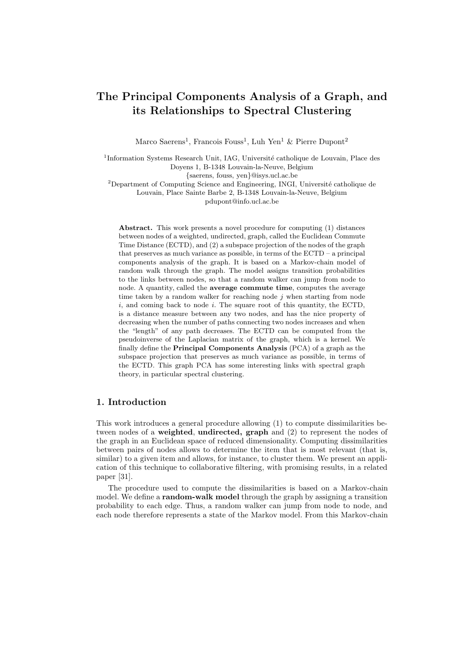# The Principal Components Analysis of a Graph, and its Relationships to Spectral Clustering

Marco Saerens<sup>1</sup>, Francois Fouss<sup>1</sup>, Luh Yen<sup>1</sup> & Pierre Dupont<sup>2</sup>

<sup>1</sup>Information Systems Research Unit, IAG, Université catholique de Louvain, Place des Doyens 1, B-1348 Louvain-la-Neuve, Belgium {saerens, fouss, yen}@isys.ucl.ac.be

 $2$ Department of Computing Science and Engineering, INGI, Université catholique de Louvain, Place Sainte Barbe 2, B-1348 Louvain-la-Neuve, Belgium pdupont@info.ucl.ac.be

Abstract. This work presents a novel procedure for computing (1) distances between nodes of a weighted, undirected, graph, called the Euclidean Commute Time Distance (ECTD), and (2) a subspace projection of the nodes of the graph that preserves as much variance as possible, in terms of the ECTD – a principal components analysis of the graph. It is based on a Markov-chain model of random walk through the graph. The model assigns transition probabilities to the links between nodes, so that a random walker can jump from node to node. A quantity, called the average commute time, computes the average time taken by a random walker for reaching node  $j$  when starting from node  $i$ , and coming back to node  $i$ . The square root of this quantity, the ECTD, is a distance measure between any two nodes, and has the nice property of decreasing when the number of paths connecting two nodes increases and when the "length" of any path decreases. The ECTD can be computed from the pseudoinverse of the Laplacian matrix of the graph, which is a kernel. We finally define the Principal Components Analysis (PCA) of a graph as the subspace projection that preserves as much variance as possible, in terms of the ECTD. This graph PCA has some interesting links with spectral graph theory, in particular spectral clustering.

## 1. Introduction

This work introduces a general procedure allowing (1) to compute dissimilarities between nodes of a **weighted, undirected, graph** and (2) to represent the nodes of the graph in an Euclidean space of reduced dimensionality. Computing dissimilarities between pairs of nodes allows to determine the item that is most relevant (that is, similar) to a given item and allows, for instance, to cluster them. We present an application of this technique to collaborative filtering, with promising results, in a related paper [31].

The procedure used to compute the dissimilarities is based on a Markov-chain model. We define a **random-walk model** through the graph by assigning a transition probability to each edge. Thus, a random walker can jump from node to node, and each node therefore represents a state of the Markov model. From this Markov-chain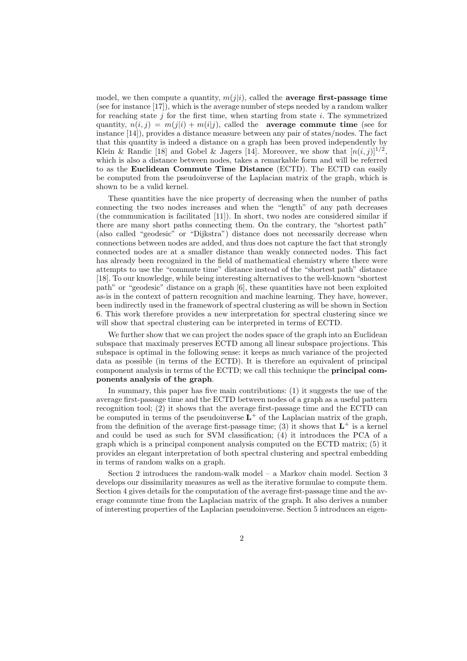model, we then compute a quantity,  $m(j|i)$ , called the **average first-passage time** (see for instance [17]), which is the average number of steps needed by a random walker for reaching state  $j$  for the first time, when starting from state  $i$ . The symmetrized quantity,  $n(i, j) = m(j|i) + m(i|j)$ , called the **average commute time** (see for instance [14]), provides a distance measure between any pair of states/nodes. The fact that this quantity is indeed a distance on a graph has been proved independently by Klein & Randic [18] and Gobel & Jagers [14]. Moreover, we show that  $[n(i,j)]^{1/2}$ , which is also a distance between nodes, takes a remarkable form and will be referred to as the Euclidean Commute Time Distance (ECTD). The ECTD can easily be computed from the pseudoinverse of the Laplacian matrix of the graph, which is shown to be a valid kernel.

These quantities have the nice property of decreasing when the number of paths connecting the two nodes increases and when the "length" of any path decreases (the communication is facilitated [11]). In short, two nodes are considered similar if there are many short paths connecting them. On the contrary, the "shortest path" (also called "geodesic" or "Dijkstra") distance does not necessarily decrease when connections between nodes are added, and thus does not capture the fact that strongly connected nodes are at a smaller distance than weakly connected nodes. This fact has already been recognized in the field of mathematical chemistry where there were attempts to use the "commute time" distance instead of the "shortest path" distance [18]. To our knowledge, while being interesting alternatives to the well-known "shortest path" or "geodesic" distance on a graph [6], these quantities have not been exploited as-is in the context of pattern recognition and machine learning. They have, however, been indirectly used in the framework of spectral clustering as will be shown in Section 6. This work therefore provides a new interpretation for spectral clustering since we will show that spectral clustering can be interpreted in terms of ECTD.

We further show that we can project the nodes space of the graph into an Euclidean subspace that maximaly preserves ECTD among all linear subspace projections. This subspace is optimal in the following sense: it keeps as much variance of the projected data as possible (in terms of the ECTD). It is therefore an equivalent of principal component analysis in terms of the ECTD; we call this technique the principal components analysis of the graph.

In summary, this paper has five main contributions: (1) it suggests the use of the average first-passage time and the ECTD between nodes of a graph as a useful pattern recognition tool;  $(2)$  it shows that the average first-passage time and the ECTD can be computed in terms of the pseudoinverse  $\mathbf{L}^+$  of the Laplacian matrix of the graph, from the definition of the average first-passage time; (3) it shows that  $L^+$  is a kernel and could be used as such for SVM classification; (4) it introduces the PCA of a graph which is a principal component analysis computed on the ECTD matrix; (5) it provides an elegant interpretation of both spectral clustering and spectral embedding in terms of random walks on a graph.

Section 2 introduces the random-walk model – a Markov chain model. Section 3 develops our dissimilarity measures as well as the iterative formulae to compute them. Section 4 gives details for the computation of the average first-passage time and the average commute time from the Laplacian matrix of the graph. It also derives a number of interesting properties of the Laplacian pseudoinverse. Section 5 introduces an eigen-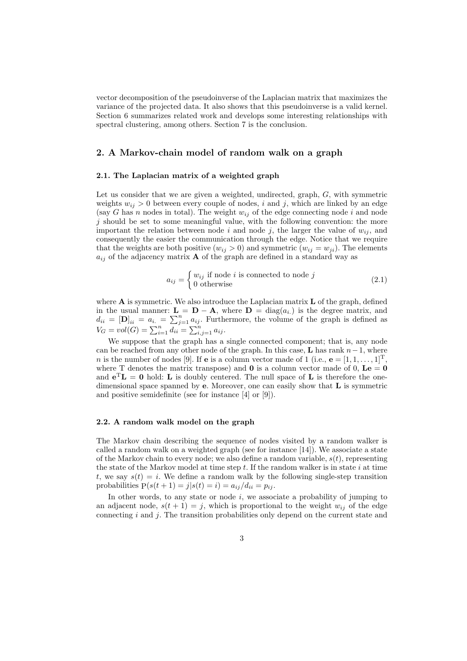vector decomposition of the pseudoinverse of the Laplacian matrix that maximizes the variance of the projected data. It also shows that this pseudoinverse is a valid kernel. Section 6 summarizes related work and develops some interesting relationships with spectral clustering, among others. Section 7 is the conclusion.

### 2. A Markov-chain model of random walk on a graph

#### 2.1. The Laplacian matrix of a weighted graph

Let us consider that we are given a weighted, undirected, graph, G, with symmetric weights  $w_{ij} > 0$  between every couple of nodes, i and j, which are linked by an edge (say G has n nodes in total). The weight  $w_{ij}$  of the edge connecting node i and node  $j$  should be set to some meaningful value, with the following convention: the more important the relation between node i and node j, the larger the value of  $w_{ij}$ , and consequently the easier the communication through the edge. Notice that we require that the weights are both positive  $(w_{ij} > 0)$  and symmetric  $(w_{ij} = w_{ji})$ . The elements  $a_{ij}$  of the adjacency matrix **A** of the graph are defined in a standard way as

$$
a_{ij} = \begin{cases} w_{ij} \text{ if node } i \text{ is connected to node } j \\ 0 \text{ otherwise} \end{cases} \tag{2.1}
$$

where  $\bf{A}$  is symmetric. We also introduce the Laplacian matrix  $\bf{L}$  of the graph, defined in the usual manner:  $\mathbf{L} = \mathbf{D} - \mathbf{A}$ , where  $\mathbf{D} = \text{diag}(a_i)$  is the degree matrix, and  $d_{ii} = [\mathbf{D}]_{ii} = a_{i.} = \sum_{j=1}^{n} a_{ij}$ . Furthermore, the volume of the graph is defined as  $V_G = vol(G) = \sum_{i=1}^n d_{ii} = \sum_{i,j=1}^n a_{ij}.$ 

We suppose that the graph has a single connected component; that is, any node can be reached from any other node of the graph. In this case, **L** has rank  $n-1$ , where *n* is the number of nodes [9]. If **e** is a column vector made of 1 (i.e.,  $\mathbf{e} = [1, 1, \dots, 1]^T$ , where T denotes the matrix transpose) and **0** is a column vector made of 0,  $\mathbf{L}\mathbf{e} = \mathbf{0}$ and  $e^{T}L = 0$  hold: L is doubly centered. The null space of L is therefore the onedimensional space spanned by  $e$ . Moreover, one can easily show that  $L$  is symmetric and positive semidefinite (see for instance [4] or [9]).

#### 2.2. A random walk model on the graph

The Markov chain describing the sequence of nodes visited by a random walker is called a random walk on a weighted graph (see for instance [14]). We associate a state of the Markov chain to every node; we also define a random variable,  $s(t)$ , representing the state of the Markov model at time step  $t$ . If the random walker is in state  $i$  at time t, we say  $s(t) = i$ . We define a random walk by the following single-step transition probabilities  $P(s(t + 1) = j | s(t) = i) = a_{ij}/d_{ii} = p_{ij}$ .

In other words, to any state or node  $i$ , we associate a probability of jumping to an adjacent node,  $s(t + 1) = j$ , which is proportional to the weight  $w_{ij}$  of the edge connecting  $i$  and  $j$ . The transition probabilities only depend on the current state and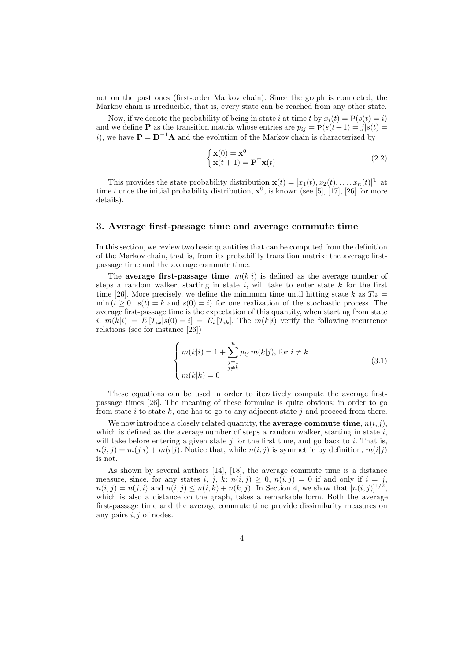not on the past ones (first-order Markov chain). Since the graph is connected, the Markov chain is irreducible, that is, every state can be reached from any other state.

Now, if we denote the probability of being in state i at time t by  $x_i(t) = P(s(t) = i)$ and we define **P** as the transition matrix whose entries are  $p_{ij} = P(s(t+1) = j|s(t)) =$ i), we have  $\mathbf{P} = \mathbf{D}^{-1}\mathbf{A}$  and the evolution of the Markov chain is characterized by

$$
\begin{cases} \mathbf{x}(0) = \mathbf{x}^0 \\ \mathbf{x}(t+1) = \mathbf{P}^{\mathrm{T}} \mathbf{x}(t) \end{cases}
$$
 (2.2)

This provides the state probability distribution  $\mathbf{x}(t) = [x_1(t), x_2(t), \dots, x_n(t)]^T$  at time t once the initial probability distribution,  $\mathbf{x}^0$ , is known (see [5], [17], [26] for more details).

## 3. Average first-passage time and average commute time

In this section, we review two basic quantities that can be computed from the definition of the Markov chain, that is, from its probability transition matrix: the average firstpassage time and the average commute time.

The **average first-passage time**,  $m(k|i)$  is defined as the average number of steps a random walker, starting in state  $i$ , will take to enter state  $k$  for the first time [26]. More precisely, we define the minimum time until hitting state k as  $T_{ik}$  =  $\min (t \geq 0 \mid s(t) = k \text{ and } s(0) = i)$  for one realization of the stochastic process. The average first-passage time is the expectation of this quantity, when starting from state i:  $m(k|i) = E[T_{ik}|s(0) = i] = E_i[T_{ik}]$ . The  $m(k|i)$  verify the following recurrence relations (see for instance [26])

$$
\begin{cases}\nm(k|i) = 1 + \sum_{\substack{j=1 \ j \neq k}}^{n} p_{ij} \, m(k|j), \text{ for } i \neq k \\
m(k|k) = 0\n\end{cases}
$$
\n(3.1)

These equations can be used in order to iteratively compute the average firstpassage times [26]. The meaning of these formulae is quite obvious: in order to go from state i to state k, one has to go to any adjacent state j and proceed from there.

We now introduce a closely related quantity, the **average commute time**,  $n(i, j)$ , which is defined as the average number of steps a random walker, starting in state  $i$ , will take before entering a given state  $j$  for the first time, and go back to  $i$ . That is,  $n(i, j) = m(j|i) + m(i|j)$ . Notice that, while  $n(i, j)$  is symmetric by definition,  $m(i|j)$ is not.

As shown by several authors [14], [18], the average commute time is a distance measure, since, for any states i, j, k:  $n(i, j) \geq 0$ ,  $n(i, j) = 0$  if and only if  $i = j$ ,  $n(i, j) = n(j, i)$  and  $n(i, j) \le n(i, k) + n(k, j)$ . In Section 4, we show that  $[n(i, j)]^{1/2}$ , which is also a distance on the graph, takes a remarkable form. Both the average first-passage time and the average commute time provide dissimilarity measures on any pairs  $i, j$  of nodes.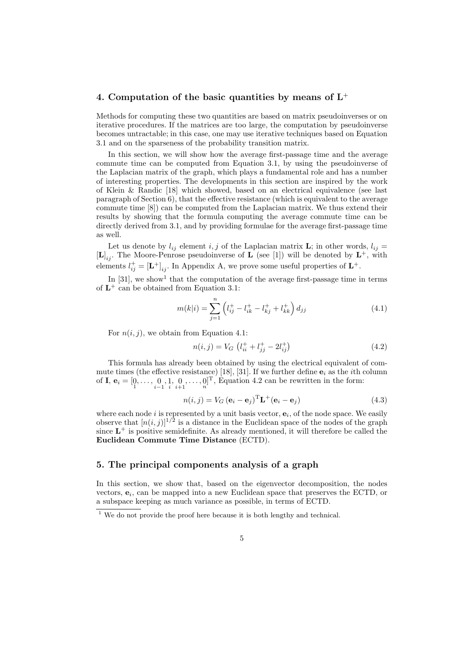## 4. Computation of the basic quantities by means of  $L^+$

Methods for computing these two quantities are based on matrix pseudoinverses or on iterative procedures. If the matrices are too large, the computation by pseudoinverse becomes untractable; in this case, one may use iterative techniques based on Equation 3.1 and on the sparseness of the probability transition matrix.

In this section, we will show how the average first-passage time and the average commute time can be computed from Equation 3.1, by using the pseudoinverse of the Laplacian matrix of the graph, which plays a fundamental role and has a number of interesting properties. The developments in this section are inspired by the work of Klein & Randic [18] which showed, based on an electrical equivalence (see last paragraph of Section 6), that the effective resistance (which is equivalent to the average commute time [8]) can be computed from the Laplacian matrix. We thus extend their results by showing that the formula computing the average commute time can be directly derived from 3.1, and by providing formulae for the average first-passage time as well.

Let us denote by  $l_{ij}$  element i, j of the Laplacian matrix **L**; in other words,  $l_{ij}$  =  $\left[\mathbf{L}\right]_{ij}$ . The Moore-Penrose pseudoinverse of **L** (see [1]) will be denoted by  $\mathbf{L}^+$ , with elements  $l_{ij}^+ = [\mathbf{L}^+]_{ij}$ . In Appendix A, we prove some useful properties of  $\mathbf{L}^+$ .

In  $[31]$ , we show<sup>1</sup> that the computation of the average first-passage time in terms of  $L^+$  can be obtained from Equation 3.1:

$$
m(k|i) = \sum_{j=1}^{n} \left( l_{ij}^{+} - l_{ik}^{+} - l_{kj}^{+} + l_{kk}^{+} \right) d_{jj}
$$
\n(4.1)

For  $n(i, j)$ , we obtain from Equation 4.1:

$$
n(i,j) = V_G \left( l_{ii}^+ + l_{jj}^+ - 2l_{ij}^+ \right) \tag{4.2}
$$

This formula has already been obtained by using the electrical equivalent of commute times (the effective resistance) [18], [31]. If we further define  $e_i$  as the *i*th column of **I**,  $\mathbf{e}_i = \begin{bmatrix} 0, \dots, 0, 1, 0, \dots, 0 \end{bmatrix}^T$ , Equation 4.2 can be rewritten in the form:

$$
n(i,j) = V_G (\mathbf{e}_i - \mathbf{e}_j)^{\mathrm{T}} \mathbf{L}^+ (\mathbf{e}_i - \mathbf{e}_j)
$$
(4.3)

where each node i is represented by a unit basis vector,  $e_i$ , of the node space. We easily observe that  $[n(i, j)]^{1/2}$  is a distance in the Euclidean space of the nodes of the graph since  $L^+$  is positive semidefinite. As already mentioned, it will therefore be called the Euclidean Commute Time Distance (ECTD).

## 5. The principal components analysis of a graph

In this section, we show that, based on the eigenvector decomposition, the nodes vectors,  $e_i$ , can be mapped into a new Euclidean space that preserves the ECTD, or a subspace keeping as much variance as possible, in terms of ECTD.

 $\frac{1}{1}$  We do not provide the proof here because it is both lengthy and technical.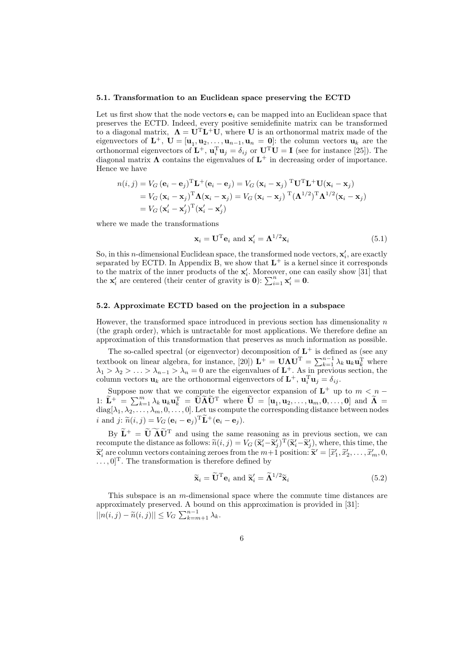#### 5.1. Transformation to an Euclidean space preserving the ECTD

Let us first show that the node vectors  $e_i$  can be mapped into an Euclidean space that preserves the ECTD. Indeed, every positive semidefinite matrix can be transformed to a diagonal matrix,  $\Lambda = \dot{U}^T L^+ \dot{U}$ , where U is an orthonormal matrix made of the eigenvectors of  $\mathbf{L}^+$ ,  $\mathbf{U} = [\mathbf{u}_1, \mathbf{u}_2, \dots, \mathbf{u}_{n-1}, \mathbf{u}_n = \mathbf{0}]$ : the column vectors  $\mathbf{u}_k$  are the orthonormal eigenvectors of  $\mathbf{L}^+$ ,  $\mathbf{u}_i^{\mathrm{T}} \mathbf{u}_j = \delta_{ij}$  or  $\mathbf{U}^{\mathrm{T}} \mathbf{U} = \mathbf{I}$  (see for instance [25]). The diagonal matrix  $\Lambda$  contains the eigenvalues of  $L^+$  in decreasing order of importance. Hence we have

$$
n(i,j) = V_G (\mathbf{e}_i - \mathbf{e}_j)^{\mathrm{T}} \mathbf{L}^+(\mathbf{e}_i - \mathbf{e}_j) = V_G (\mathbf{x}_i - \mathbf{x}_j)^{\mathrm{T}} \mathbf{U}^{\mathrm{T}} \mathbf{L}^+ \mathbf{U} (\mathbf{x}_i - \mathbf{x}_j)
$$
  
=  $V_G (\mathbf{x}_i - \mathbf{x}_j)^{\mathrm{T}} \mathbf{\Lambda} (\mathbf{x}_i - \mathbf{x}_j) = V_G (\mathbf{x}_i - \mathbf{x}_j)^{\mathrm{T}} (\mathbf{\Lambda}^{1/2})^{\mathrm{T}} \mathbf{\Lambda}^{1/2} (\mathbf{x}_i - \mathbf{x}_j)$   
=  $V_G (\mathbf{x}'_i - \mathbf{x}'_j)^{\mathrm{T}} (\mathbf{x}'_i - \mathbf{x}'_j)$ 

where we made the transformations

$$
\mathbf{x}_i = \mathbf{U}^{\mathrm{T}} \mathbf{e}_i \text{ and } \mathbf{x}'_i = \mathbf{\Lambda}^{1/2} \mathbf{x}_i \tag{5.1}
$$

So, in this *n*-dimensional Euclidean space, the transformed node vectors,  $\mathbf{x}'_i$ , are exactly separated by ECTD. In Appendix B, we show that  $L^+$  is a kernel since it corresponds to the matrix of the inner products of the  $\mathbf{x}'_i$ . Moreover, one can easily show [31] that the  $\mathbf{x}'_i$  are centered (their center of gravity is  $\mathbf{0}$ ):  $\sum_{i=1}^n \mathbf{x}'_i = \mathbf{0}$ .

#### 5.2. Approximate ECTD based on the projection in a subspace

However, the transformed space introduced in previous section has dimensionality  $n$ (the graph order), which is untractable for most applications. We therefore define an approximation of this transformation that preserves as much information as possible.

The so-called spectral (or eigenvector) decomposition of  $L^+$  is defined as (see any textbook on linear algebra, for instance, [20])  $\mathbf{L}^+ = \mathbf{U} \mathbf{\Lambda} \mathbf{U}^T = \sum_{k=1}^{n-1} \lambda_k \mathbf{u}_k \mathbf{u}_k^T$  where  $\lambda_1 > \lambda_2 > \ldots > \lambda_{n-1} > \lambda_n = 0$  are the eigenvalues of  $\mathbf{L}^+$ . As in previous section, the column vectors  $\mathbf{u}_k$  are the orthonormal eigenvectors of  $\mathbf{L}^+$ ,  $\mathbf{u}_i^{\mathrm{T}} \mathbf{u}_j = \delta_{ij}$ .

Suppose now that we compute the eigenvector expansion of  $\mathbf{L}^+$  up to  $m < n -$ 1:  $\widetilde{\mathbf{L}}^+ = \sum_{k=1}^m \lambda_k \mathbf{u}_k \mathbf{u}_k^{\mathrm{T}} = \widetilde{\mathbf{U}} \widetilde{\mathbf{\Lambda}} \widetilde{\mathbf{U}}^{\mathrm{T}}$  where  $\widetilde{\mathbf{U}} = [\mathbf{u}_1, \mathbf{u}_2, \dots, \mathbf{u}_m, \mathbf{0}, \dots, \mathbf{0}]$  and  $\widetilde{\mathbf{\Lambda}} =$  $\mathrm{diag}[\lambda_1, \lambda_2, \ldots, \lambda_m, 0, \ldots, 0].$  Let us compute the corresponding distance between nodes *i* and *j*:  $\widetilde{n}(i, j) = V_G (\mathbf{e}_i - \mathbf{e}_j)^{\mathrm{T}} \widetilde{\mathbf{L}}^+ (\mathbf{e}_i - \mathbf{e}_j).$ 

By  $\widetilde{\mathbf{L}}^+ = \widetilde{\mathbf{U}} \widetilde{\mathbf{\Lambda}} \widetilde{\mathbf{U}}^T$  and using the same reasoning as in previous section, we can recompute the distance as follows:  $\widetilde{n}(i, j) = V_G (\widetilde{\mathbf{x}}_i' - \widetilde{\mathbf{x}}_j')^T (\widetilde{\mathbf{x}}_i' - \widetilde{\mathbf{x}}_j'),$  where, this time, the  $\tilde{\mathbf{x}}'$  are column vectors containing zeroes from the  $m+1$  position:  $\tilde{\mathbf{x}}' = [\tilde{x}'_1, \tilde{x}'_2, \dots, \tilde{x}'_m, 0,$  $\ldots$ ,  $[0]^T$ . The transformation is therefore defined by

$$
\widetilde{\mathbf{x}}_i = \widetilde{\mathbf{U}}^{\mathrm{T}} \mathbf{e}_i \text{ and } \widetilde{\mathbf{x}}_i' = \widetilde{\mathbf{\Lambda}}^{1/2} \widetilde{\mathbf{x}}_i \tag{5.2}
$$

This subspace is an m-dimensional space where the commute time distances are approximately preserved. A bound on this approximation is provided in [31]:  $||n(i, j) - \widetilde{n}(i, j)|| \leq V_G \sum_{k=m+1}^{n-1} \lambda_k.$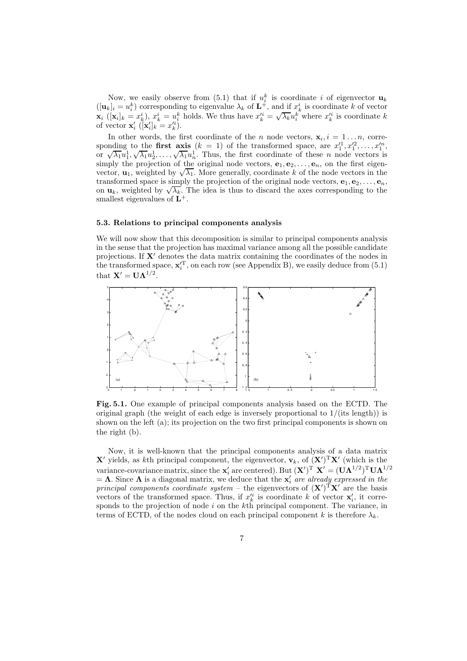Now, we easily observe from (5.1) that if  $u_i^k$  is coordinate i of eigenvector  $\mathbf{u}_k$  $([\mathbf{u}_k]_i = u_i^k)$  corresponding to eigenvalue  $\lambda_k$  of  $\mathbf{L}^+$ , and if  $x_k^i$  is coordinate k of vector  $\mathbf{x}_i$  ( $[\mathbf{x}_i]_k = x_k^i$ ),  $x_k^i = u_i^k$  holds. We thus have  $x_k'^i = \sqrt{\lambda_k} u_i^k$  where  $x_k'^i$  is coordinate k of vector  $\mathbf{x}'_i$  ( $[\mathbf{x}'_i]_k = x'^i_k$ ).

In other words, the first coordinate of the *n* node vectors,  $\mathbf{x}_i, i = 1 \dots n$ , corresponding to the first axis  $(k = 1)$  of the transformed space, are  $x_1^{1}, x_1^{2}, \ldots, x_1^{n}$ , or  $\sqrt{\lambda_1}u_1^1, \sqrt{\lambda_1}u_2^1, \ldots, \sqrt{\lambda_1}u_n^1$ . Thus, the first coordinate of these *n* node vectors is simply the projection of the original node vectors,  $e_1, e_2, \ldots, e_n$ , on the first eigenvector,  $\mathbf{u}_1$ , weighted by  $\sqrt{\lambda_1}$ . More generally, coordinate k of the node vectors in the transformed space is simply the projection of the original node vectors,  $e_1, e_2, \ldots, e_n$ , on  $\mathbf{u}_k$ , weighted by  $\sqrt{\lambda_k}$ . The idea is thus to discard the axes corresponding to the smallest eigenvalues of  $L^+$ .

### 5.3. Relations to principal components analysis

We will now show that this decomposition is similar to principal components analysis in the sense that the projection has maximal variance among all the possible candidate projections. If  $X'$  denotes the data matrix containing the coordinates of the nodes in the transformed space,  $\mathbf{x}_i^{\prime T}$ , on each row (see Appendix B), we easily deduce from (5.1) that  $\mathbf{X}' = \mathbf{U} \mathbf{\Lambda}^{1/2}$ .



Fig. 5.1. One example of principal components analysis based on the ECTD. The original graph (the weight of each edge is inversely proportional to  $1/$ (its length)) is shown on the left (a); its projection on the two first principal components is shown on the right (b).

Now, it is well-known that the principal components analysis of a data matrix **X'** yields, as kth principal component, the eigenvector,  $v_k$ , of  $(X')^T X'$  (which is the variance-covariance matrix, since the  $\mathbf{x}'_i$  are centered). But  $(\mathbf{X}')^T$   $\mathbf{X}' = (\mathbf{U}\boldsymbol{\Lambda}^{1/2})^T \mathbf{U}\boldsymbol{\Lambda}^{1/2}$  $=$  Λ. Since Λ is a diagonal matrix, we deduce that the  $\mathbf{x}'_i$  are already expressed in the principal components coordinate system – the eigenvectors of  $(X')^T X'$  are the basis vectors of the transformed space. Thus, if  $x_k^i$  is coordinate k of vector  $\mathbf{x}'_i$ , it corresponds to the projection of node  $i$  on the kth principal component. The variance, in terms of ECTD, of the nodes cloud on each principal component k is therefore  $\lambda_k$ .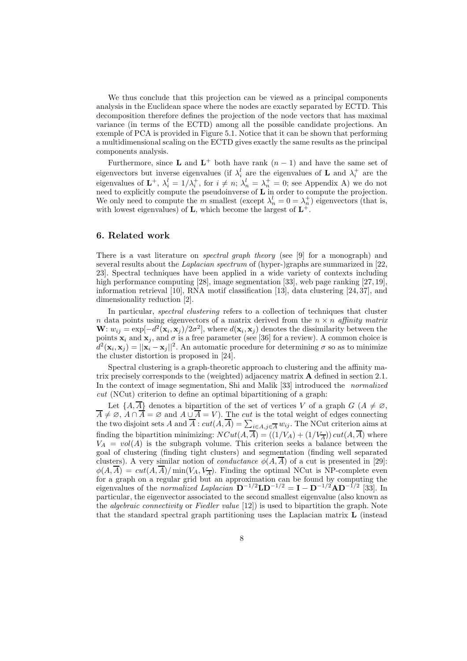We thus conclude that this projection can be viewed as a principal components analysis in the Euclidean space where the nodes are exactly separated by ECTD. This decomposition therefore defines the projection of the node vectors that has maximal variance (in terms of the ECTD) among all the possible candidate projections. An exemple of PCA is provided in Figure 5.1. Notice that it can be shown that performing a multidimensional scaling on the ECTD gives exactly the same results as the principal components analysis.

Furthermore, since **L** and  $L^+$  both have rank  $(n-1)$  and have the same set of eigenvectors but inverse eigenvalues (if  $\lambda_i^l$  are the eigenvalues of **L** and  $\lambda_i^+$  are the eigenvalues of  $\mathbf{L}^+$ ,  $\lambda_i^l = 1/\lambda_i^+$ , for  $i \neq n$ ;  $\lambda_n^l = \lambda_n^+ = 0$ ; see Appendix A) we do not need to explicitly compute the pseudoinverse of **L** in order to compute the projection. We only need to compute the m smallest (except  $\lambda_n^l = 0 = \lambda_n^+$ ) eigenvectors (that is, with lowest eigenvalues) of **L**, which become the largest of  $\mathbf{L}^+$ .

## 6. Related work

There is a vast literature on *spectral graph theory* (see [9] for a monograph) and several results about the *Laplacian spectrum* of (hyper-)graphs are summarized in [22, 23]. Spectral techniques have been applied in a wide variety of contexts including high performance computing [28], image segmentation [33], web page ranking [27, 19]. information retrieval [10], RNA motif classification [13], data clustering [24, 37], and dimensionality reduction [2].

In particular, spectral clustering refers to a collection of techniques that cluster n data points using eigenvectors of a matrix derived from the  $n \times n$  affinity matrix  $\mathbf{W}: w_{ij} = \exp[-d^2(\mathbf{x}_i, \mathbf{x}_j)/2\sigma^2],$  where  $d(\mathbf{x}_i, \mathbf{x}_j)$  denotes the dissimilarity between the points  $\mathbf{x}_i$  and  $\mathbf{x}_j$ , and  $\sigma$  is a free parameter (see [36] for a review). A common choice is  $d^2(\mathbf{x}_i, \mathbf{x}_j) = ||\mathbf{x}_i - \mathbf{x}_j||^2$ . An automatic procedure for determining  $\sigma$  so as to minimize the cluster distortion is proposed in [24].

Spectral clustering is a graph-theoretic approach to clustering and the affinity matrix precisely corresponds to the (weighted) adjacency matrix  $\bf{A}$  defined in section 2.1. In the context of image segmentation, Shi and Malik [33] introduced the normalized cut (NCut) criterion to define an optimal bipartitioning of a graph:

Let  $\{A, \overline{A}\}\$  denotes a bipartition of the set of vertices V of a graph  $G$   $(A \neq \emptyset, \overline{A})$  $\overline{A} \neq \emptyset$ ,  $\overline{A} \cap \overline{A} = \emptyset$  and  $A \cup \overline{A} = V$ ). The cut is the total weight of edges connecting the two disjoint sets A and  $\overline{A}$  :  $cut(A, \overline{A}) = \sum_{i \in A, j \in \overline{A}} w_{ij}$ . The NCut criterion aims at finding the bipartition minimizing:  $NCut(A, A) = ((1/V_A) + (1/V_A)) cut(A, A)$  where  $V_A = vol(A)$  is the subgraph volume. This criterion seeks a balance between the goal of clustering (finding tight clusters) and segmentation (finding well separated clusters). A very similar notion of *conductance*  $\phi(A, \overline{A})$  of a cut is presented in [29]:  $\phi(A, A) = cut(A, A) / min(V_A, V_{\overline{A}})$ . Finding the optimal NCut is NP-complete even for a graph on a regular grid but an approximation can be found by computing the eigenvalues of the *normalized Laplacian*  $\mathbf{D}^{-1/2}\mathbf{L}\mathbf{D}^{-1/2} = \mathbf{I} - \mathbf{D}^{-1/2}\mathbf{A}\mathbf{D}^{-1/2}$  [33]. In particular, the eigenvector associated to the second smallest eigenvalue (also known as the *algebraic connectivity* or *Fiedler value* [12]) is used to bipartition the graph. Note that the standard spectral graph partitioning uses the Laplacian matrix L (instead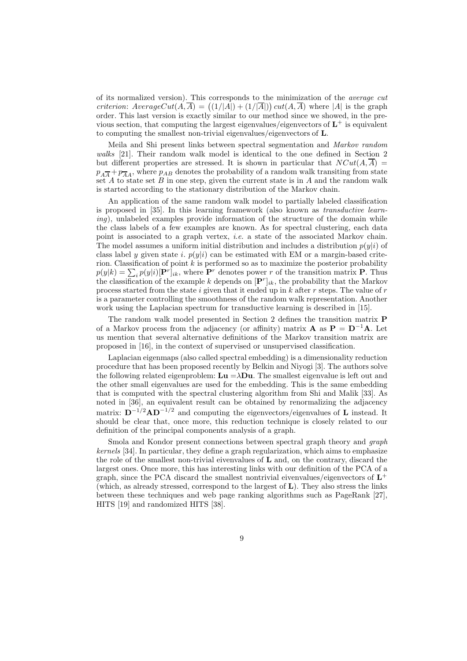of its normalized version). This corresponds to the minimization of the average cut criterion:  $AverageCut(A, \overline{A}) = ((1/|A|) + (1/|\overline{A}|)) cut(A, \overline{A})$  where |A| is the graph order. This last version is exactly similar to our method since we showed, in the previous section, that computing the largest eigenvalues/eigenvectors of  $L^+$  is equivalent to computing the smallest non-trivial eigenvalues/eigenvectors of L.

Meila and Shi present links between spectral segmentation and Markov random walks [21]. Their random walk model is identical to the one defined in Section 2 but different properties are stressed. It is shown in particular that  $NCut(A,\overline{A})=$  $p_{\overline{AA}} + p_{\overline{AA}}$ , where  $p_{AB}$  denotes the probability of a random walk transiting from state set  $A$  to state set  $B$  in one step, given the current state is in  $A$  and the random walk is started according to the stationary distribution of the Markov chain.

An application of the same random walk model to partially labeled classification is proposed in [35]. In this learning framework (also known as transductive learning), unlabeled examples provide information of the structure of the domain while the class labels of a few examples are known. As for spectral clustering, each data point is associated to a graph vertex, *i.e.* a state of the associated Markov chain. The model assumes a uniform initial distribution and includes a distribution  $p(y|i)$  of class label y given state i.  $p(y|i)$  can be estimated with EM or a margin-based criterion. Classification of point  $k$  is performed so as to maximize the posterior probability  $p(y|k) = \sum_{i} p(y|i) [\mathbf{P}^r]_{ik}$ , where  $\mathbf{P}^r$  denotes power r of the transition matrix **P**. Thus the classification of the example k depends on  $[P<sup>r</sup>]_{ik}$ , the probability that the Markov process started from the state  $i$  given that it ended up in  $k$  after  $r$  steps. The value of  $r$ is a parameter controlling the smoothness of the random walk representation. Another work using the Laplacian spectrum for transductive learning is described in [15].

The random walk model presented in Section 2 defines the transition matrix P of a Markov process from the adjacency (or affinity) matrix **A** as  $P = D^{-1}A$ . Let us mention that several alternative definitions of the Markov transition matrix are proposed in [16], in the context of supervised or unsupervised classification.

Laplacian eigenmaps (also called spectral embedding) is a dimensionality reduction procedure that has been proposed recently by Belkin and Niyogi [3]. The authors solve the following related eigenproblem:  $\mathbf{L} \mathbf{u} = \lambda \mathbf{D} \mathbf{u}$ . The smallest eigenvalue is left out and the other small eigenvalues are used for the embedding. This is the same embedding that is computed with the spectral clustering algorithm from Shi and Malik [33]. As noted in [36], an equivalent result can be obtained by renormalizing the adjacency matrix:  $D^{-1/2}AD^{-1/2}$  and computing the eigenvectors/eigenvalues of L instead. It should be clear that, once more, this reduction technique is closely related to our definition of the principal components analysis of a graph.

Smola and Kondor present connections between spectral graph theory and *graph* kernels [34]. In particular, they define a graph regularization, which aims to emphasize the role of the smallest non-trivial eivenvalues of  $L$  and, on the contrary, discard the largest ones. Once more, this has interesting links with our definition of the PCA of a graph, since the PCA discard the smallest nontrivial eivenvalues/eigenvectors of  $L^+$ (which, as already stressed, correspond to the largest of L). They also stress the links between these techniques and web page ranking algorithms such as PageRank [27], HITS [19] and randomized HITS [38].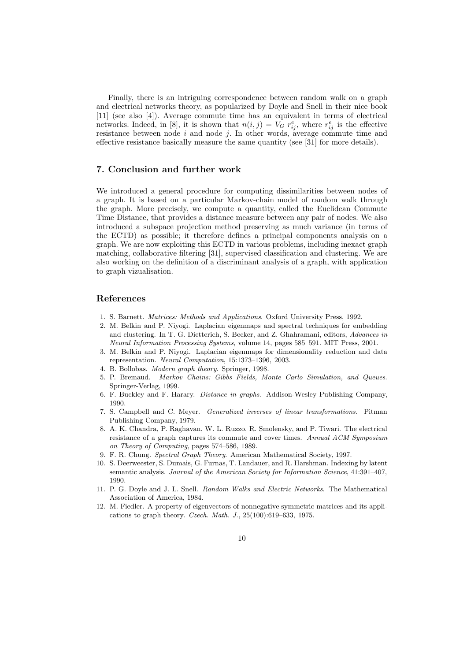Finally, there is an intriguing correspondence between random walk on a graph and electrical networks theory, as popularized by Doyle and Snell in their nice book [11] (see also [4]). Average commute time has an equivalent in terms of electrical networks. Indeed, in [8], it is shown that  $n(i, j) = V_G r_{ij}^e$ , where  $r_{ij}^e$  is the effective resistance between node  $i$  and node  $j$ . In other words, average commute time and effective resistance basically measure the same quantity (see [31] for more details).

## 7. Conclusion and further work

We introduced a general procedure for computing dissimilarities between nodes of a graph. It is based on a particular Markov-chain model of random walk through the graph. More precisely, we compute a quantity, called the Euclidean Commute Time Distance, that provides a distance measure between any pair of nodes. We also introduced a subspace projection method preserving as much variance (in terms of the ECTD) as possible; it therefore defines a principal components analysis on a graph. We are now exploiting this ECTD in various problems, including inexact graph matching, collaborative filtering [31], supervised classification and clustering. We are also working on the definition of a discriminant analysis of a graph, with application to graph vizualisation.

## References

- 1. S. Barnett. Matrices: Methods and Applications. Oxford University Press, 1992.
- 2. M. Belkin and P. Niyogi. Laplacian eigenmaps and spectral techniques for embedding and clustering. In T. G. Dietterich, S. Becker, and Z. Ghahramani, editors, Advances in Neural Information Processing Systems, volume 14, pages 585–591. MIT Press, 2001.
- 3. M. Belkin and P. Niyogi. Laplacian eigenmaps for dimensionality reduction and data representation. Neural Computation, 15:1373–1396, 2003.
- 4. B. Bollobas. Modern graph theory. Springer, 1998.
- 5. P. Bremaud. Markov Chains: Gibbs Fields, Monte Carlo Simulation, and Queues. Springer-Verlag, 1999.
- 6. F. Buckley and F. Harary. Distance in graphs. Addison-Wesley Publishing Company, 1990.
- 7. S. Campbell and C. Meyer. Generalized inverses of linear transformations. Pitman Publishing Company, 1979.
- 8. A. K. Chandra, P. Raghavan, W. L. Ruzzo, R. Smolensky, and P. Tiwari. The electrical resistance of a graph captures its commute and cover times. Annual ACM Symposium on Theory of Computing, pages 574–586, 1989.
- 9. F. R. Chung. Spectral Graph Theory. American Mathematical Society, 1997.
- 10. S. Deerweester, S. Dumais, G. Furnas, T. Landauer, and R. Harshman. Indexing by latent semantic analysis. Journal of the American Society for Information Science, 41:391–407, 1990.
- 11. P. G. Doyle and J. L. Snell. Random Walks and Electric Networks. The Mathematical Association of America, 1984.
- 12. M. Fiedler. A property of eigenvectors of nonnegative symmetric matrices and its applications to graph theory. Czech. Math. J., 25(100):619–633, 1975.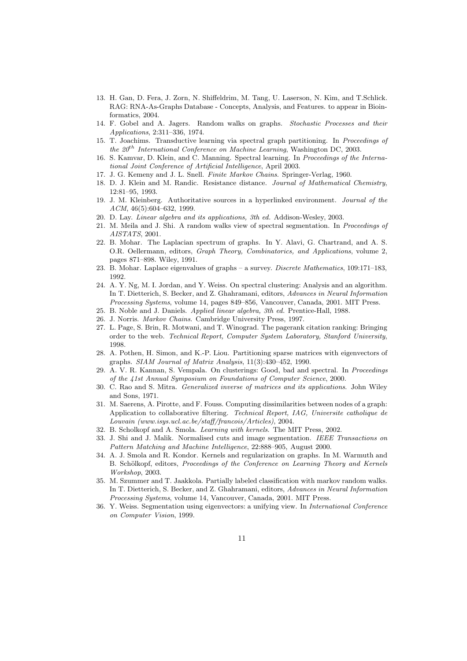- 13. H. Gan, D. Fera, J. Zorn, N. Shiffeldrim, M. Tang, U. Laserson, N. Kim, and T.Schlick. RAG: RNA-As-Graphs Database - Concepts, Analysis, and Features. to appear in Bioinformatics, 2004.
- 14. F. Gobel and A. Jagers. Random walks on graphs. Stochastic Processes and their Applications, 2:311–336, 1974.
- 15. T. Joachims. Transductive learning via spectral graph partitioning. In Proceedings of the  $20<sup>th</sup> International Conference on Machine Learning, Washington DC, 2003.$
- 16. S. Kamvar, D. Klein, and C. Manning. Spectral learning. In Proceedings of the International Joint Conference of Artificial Intelligence, April 2003.
- 17. J. G. Kemeny and J. L. Snell. Finite Markov Chains. Springer-Verlag, 1960.
- 18. D. J. Klein and M. Randic. Resistance distance. Journal of Mathematical Chemistry, 12:81–95, 1993.
- 19. J. M. Kleinberg. Authoritative sources in a hyperlinked environment. Journal of the ACM, 46(5):604–632, 1999.
- 20. D. Lay. Linear algebra and its applications, 3th ed. Addison-Wesley, 2003.
- 21. M. Meila and J. Shi. A random walks view of spectral segmentation. In Proceedings of AISTATS, 2001.
- 22. B. Mohar. The Laplacian spectrum of graphs. In Y. Alavi, G. Chartrand, and A. S. O.R. Oellermann, editors, Graph Theory, Combinatorics, and Applications, volume 2, pages 871–898. Wiley, 1991.
- 23. B. Mohar. Laplace eigenvalues of graphs a survey. Discrete Mathematics, 109:171–183, 1992.
- 24. A. Y. Ng, M. I. Jordan, and Y. Weiss. On spectral clustering: Analysis and an algorithm. In T. Dietterich, S. Becker, and Z. Ghahramani, editors, Advances in Neural Information Processing Systems, volume 14, pages 849–856, Vancouver, Canada, 2001. MIT Press.
- 25. B. Noble and J. Daniels. Applied linear algebra, 3th ed. Prentice-Hall, 1988.
- 26. J. Norris. Markov Chains. Cambridge University Press, 1997.
- 27. L. Page, S. Brin, R. Motwani, and T. Winograd. The pagerank citation ranking: Bringing order to the web. Technical Report, Computer System Laboratory, Stanford University, 1998.
- 28. A. Pothen, H. Simon, and K.-P. Liou. Partitioning sparse matrices with eigenvectors of graphs. SIAM Journal of Matrix Analysis, 11(3):430–452, 1990.
- 29. A. V. R. Kannan, S. Vempala. On clusterings: Good, bad and spectral. In Proceedings of the 41st Annual Symposium on Foundations of Computer Science, 2000.
- 30. C. Rao and S. Mitra. Generalized inverse of matrices and its applications. John Wiley and Sons, 1971.
- 31. M. Saerens, A. Pirotte, and F. Fouss. Computing dissimilarities between nodes of a graph: Application to collaborative filtering. Technical Report, IAG, Universite catholique de Louvain (www.isys.ucl.ac.be/staff/francois/Articles), 2004.
- 32. B. Scholkopf and A. Smola. Learning with kernels. The MIT Press, 2002.
- 33. J. Shi and J. Malik. Normalised cuts and image segmentation. IEEE Transactions on Pattern Matching and Machine Intelligence, 22:888–905, August 2000.
- 34. A. J. Smola and R. Kondor. Kernels and regularization on graphs. In M. Warmuth and B. Schölkopf, editors, Proceedings of the Conference on Learning Theory and Kernels Workshop, 2003.
- 35. M. Szummer and T. Jaakkola. Partially labeled classification with markov random walks. In T. Dietterich, S. Becker, and Z. Ghahramani, editors, Advances in Neural Information Processing Systems, volume 14, Vancouver, Canada, 2001. MIT Press.
- 36. Y. Weiss. Segmentation using eigenvectors: a unifying view. In International Conference on Computer Vision, 1999.